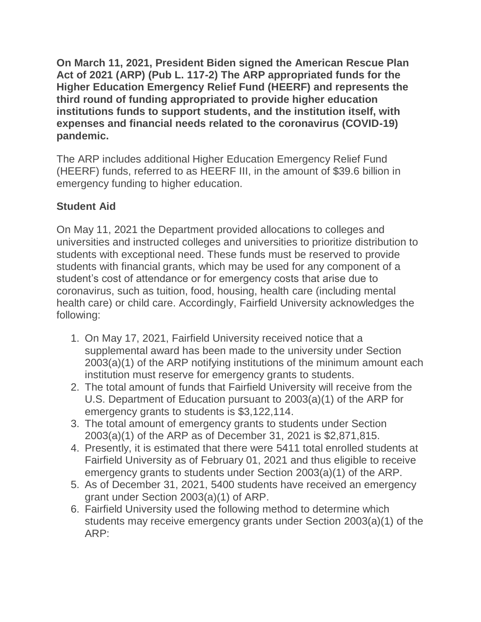**On March 11, 2021, President Biden signed the American Rescue Plan Act of 2021 (ARP) (Pub L. 117-2) The ARP appropriated funds for the Higher Education Emergency Relief Fund (HEERF) and represents the third round of funding appropriated to provide higher education institutions funds to support students, and the institution itself, with expenses and financial needs related to the coronavirus (COVID-19) pandemic.** 

The ARP includes additional Higher Education Emergency Relief Fund (HEERF) funds, referred to as HEERF III, in the amount of \$39.6 billion in emergency funding to higher education.

## **Student Aid**

On May 11, 2021 the Department provided allocations to colleges and universities and instructed colleges and universities to prioritize distribution to students with exceptional need. These funds must be reserved to provide students with financial grants, which may be used for any component of a student's cost of attendance or for emergency costs that arise due to coronavirus, such as tuition, food, housing, health care (including mental health care) or child care. Accordingly, Fairfield University acknowledges the following:

- 1. On May 17, 2021, Fairfield University received notice that a supplemental award has been made to the university under Section 2003(a)(1) of the ARP notifying institutions of the minimum amount each institution must reserve for emergency grants to students.
- 2. The total amount of funds that Fairfield University will receive from the U.S. Department of Education pursuant to 2003(a)(1) of the ARP for emergency grants to students is \$3,122,114.
- 3. The total amount of emergency grants to students under Section 2003(a)(1) of the ARP as of December 31, 2021 is \$2,871,815.
- 4. Presently, it is estimated that there were 5411 total enrolled students at Fairfield University as of February 01, 2021 and thus eligible to receive emergency grants to students under Section 2003(a)(1) of the ARP.
- 5. As of December 31, 2021, 5400 students have received an emergency grant under Section 2003(a)(1) of ARP.
- 6. Fairfield University used the following method to determine which students may receive emergency grants under Section 2003(a)(1) of the ARP: